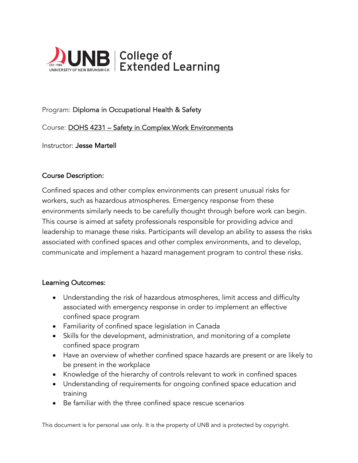

# Program: Diploma in Occupational Health & Safety

## Course: DOHS 4231 – Safety in Complex Work Environments

Instructor: Jesse Martell

### Course Description:

Confined spaces and other complex environments can present unusual risks for workers, such as hazardous atmospheres. Emergency response from these environments similarly needs to be carefully thought through before work can begin. This course is aimed at safety professionals responsible for providing advice and leadership to manage these risks. Participants will develop an ability to assess the risks associated with confined spaces and other complex environments, and to develop, communicate and implement a hazard management program to control these risks.

### Learning Outcomes:

- Understanding the risk of hazardous atmospheres, limit access and difficulty associated with emergency response in order to implement an effective confined space program
- Familiarity of confined space legislation in Canada
- Skills for the development, administration, and monitoring of a complete confined space program
- Have an overview of whether confined space hazards are present or are likely to be present in the workplace
- Knowledge of the hierarchy of controls relevant to work in confined spaces
- Understanding of requirements for ongoing confined space education and training
- Be familiar with the three confined space rescue scenarios

This document is for personal use only. It is the property of UNB and is protected by copyright.